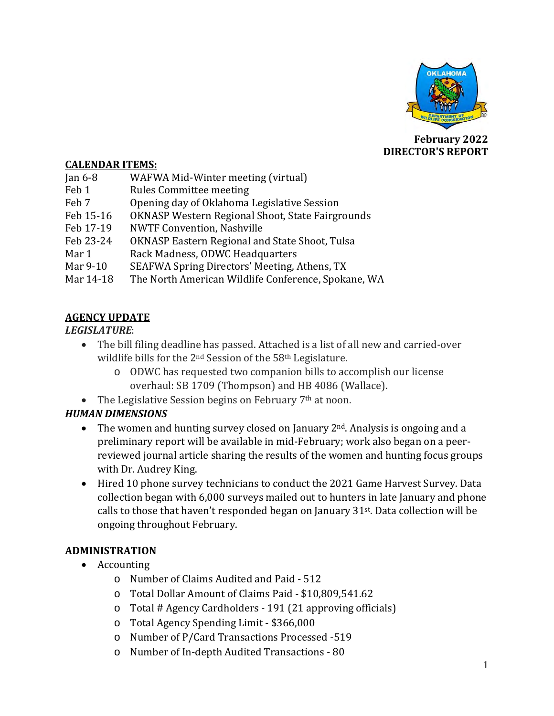

**February 2022 DIRECTOR'S REPORT**

#### **CALENDAR ITEMS:**

| WAFWA Mid-Winter meeting (virtual)                  |
|-----------------------------------------------------|
| <b>Rules Committee meeting</b>                      |
| Opening day of Oklahoma Legislative Session         |
| OKNASP Western Regional Shoot, State Fairgrounds    |
| <b>NWTF Convention, Nashville</b>                   |
| OKNASP Eastern Regional and State Shoot, Tulsa      |
| Rack Madness, ODWC Headquarters                     |
| SEAFWA Spring Directors' Meeting, Athens, TX        |
| The North American Wildlife Conference, Spokane, WA |
|                                                     |

### **AGENCY UPDATE**

#### *LEGISLATURE*:

- The bill filing deadline has passed. Attached is a list of all new and carried-over wildlife bills for the 2<sup>nd</sup> Session of the 58<sup>th</sup> Legislature.
	- o ODWC has requested two companion bills to accomplish our license overhaul: SB 1709 (Thompson) and HB 4086 (Wallace).
- The Legislative Session begins on February  $7<sup>th</sup>$  at noon.

# *HUMAN DIMENSIONS*

- The women and hunting survey closed on January  $2<sup>nd</sup>$ . Analysis is ongoing and a preliminary report will be available in mid-February; work also began on a peerreviewed journal article sharing the results of the women and hunting focus groups with Dr. Audrey King.
- Hired 10 phone survey technicians to conduct the 2021 Game Harvest Survey. Data collection began with 6,000 surveys mailed out to hunters in late January and phone calls to those that haven't responded began on January 31st. Data collection will be ongoing throughout February.

### **ADMINISTRATION**

- Accounting
	- o Number of Claims Audited and Paid 512
	- o Total Dollar Amount of Claims Paid \$10,809,541.62
	- o Total # Agency Cardholders 191 (21 approving officials)
	- o Total Agency Spending Limit \$366,000
	- o Number of P/Card Transactions Processed -519
	- o Number of In-depth Audited Transactions 80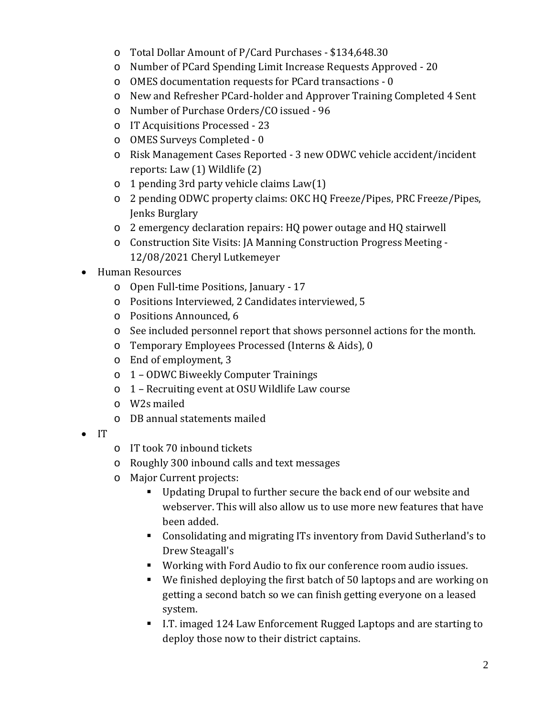- o Total Dollar Amount of P/Card Purchases \$134,648.30
- o Number of PCard Spending Limit Increase Requests Approved 20
- o OMES documentation requests for PCard transactions 0
- o New and Refresher PCard-holder and Approver Training Completed 4 Sent
- o Number of Purchase Orders/CO issued 96
- o IT Acquisitions Processed 23
- o OMES Surveys Completed 0
- o Risk Management Cases Reported 3 new ODWC vehicle accident/incident reports: Law (1) Wildlife (2)
- o 1 pending 3rd party vehicle claims Law(1)
- o 2 pending ODWC property claims: OKC HQ Freeze/Pipes, PRC Freeze/Pipes, Jenks Burglary
- o 2 emergency declaration repairs: HQ power outage and HQ stairwell
- o Construction Site Visits: JA Manning Construction Progress Meeting 12/08/2021 Cheryl Lutkemeyer
- Human Resources
	- o Open Full-time Positions, January 17
	- o Positions Interviewed, 2 Candidates interviewed, 5
	- o Positions Announced, 6
	- o See included personnel report that shows personnel actions for the month.
	- o Temporary Employees Processed (Interns & Aids), 0
	- o End of employment, 3
	- o 1 ODWC Biweekly Computer Trainings
	- o 1 Recruiting event at OSU Wildlife Law course
	- o W2s mailed
	- o DB annual statements mailed
- IT
- o IT took 70 inbound tickets
- o Roughly 300 inbound calls and text messages
- o Major Current projects:
	- Updating Drupal to further secure the back end of our website and webserver. This will also allow us to use more new features that have been added.
	- Consolidating and migrating ITs inventory from David Sutherland's to Drew Steagall's
	- Working with Ford Audio to fix our conference room audio issues.
	- We finished deploying the first batch of 50 laptops and are working on getting a second batch so we can finish getting everyone on a leased system.
	- I.T. imaged 124 Law Enforcement Rugged Laptops and are starting to deploy those now to their district captains.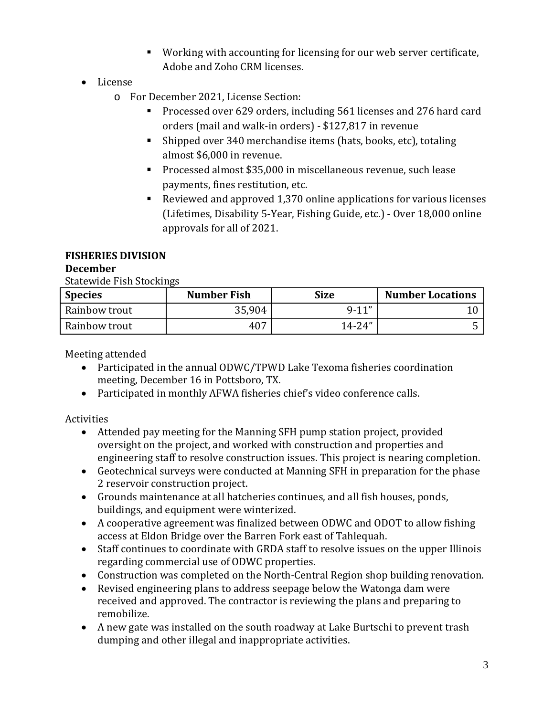- Working with accounting for licensing for our web server certificate, Adobe and Zoho CRM licenses.
- License
	- o For December 2021, License Section:
		- Processed over 629 orders, including 561 licenses and 276 hard card orders (mail and walk-in orders) - \$127,817 in revenue
		- Shipped over 340 merchandise items (hats, books, etc), totaling almost \$6,000 in revenue.
		- **Processed almost \$35,000 in miscellaneous revenue, such lease** payments, fines restitution, etc.
		- Reviewed and approved 1,370 online applications for various licenses (Lifetimes, Disability 5-Year, Fishing Guide, etc.) - Over 18,000 online approvals for all of 2021.

# **FISHERIES DIVISION**

### **December**

Statewide Fish Stockings

| <b>Species</b> | <b>Number Fish</b> | <b>Size</b> | <b>Number Locations</b> |
|----------------|--------------------|-------------|-------------------------|
| Rainbow trout  | 35,904             | $9-11"$     |                         |
| Rainbow trout  | 407                | $14 - 24"$  |                         |

Meeting attended

- Participated in the annual ODWC/TPWD Lake Texoma fisheries coordination meeting, December 16 in Pottsboro, TX.
- Participated in monthly AFWA fisheries chief's video conference calls.

# Activities

- Attended pay meeting for the Manning SFH pump station project, provided oversight on the project, and worked with construction and properties and engineering staff to resolve construction issues. This project is nearing completion.
- Geotechnical surveys were conducted at Manning SFH in preparation for the phase 2 reservoir construction project.
- Grounds maintenance at all hatcheries continues, and all fish houses, ponds, buildings, and equipment were winterized.
- A cooperative agreement was finalized between ODWC and ODOT to allow fishing access at Eldon Bridge over the Barren Fork east of Tahlequah.
- Staff continues to coordinate with GRDA staff to resolve issues on the upper Illinois regarding commercial use of ODWC properties.
- Construction was completed on the North-Central Region shop building renovation.
- Revised engineering plans to address seepage below the Watonga dam were received and approved. The contractor is reviewing the plans and preparing to remobilize.
- A new gate was installed on the south roadway at Lake Burtschi to prevent trash dumping and other illegal and inappropriate activities.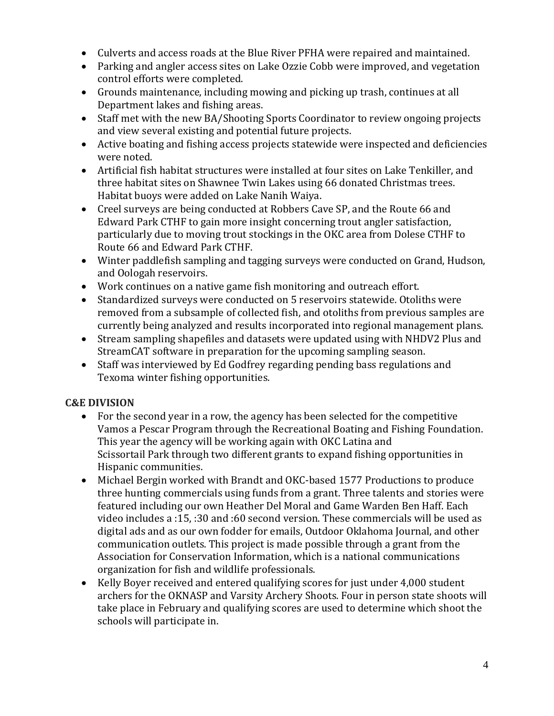- Culverts and access roads at the Blue River PFHA were repaired and maintained.
- Parking and angler access sites on Lake Ozzie Cobb were improved, and vegetation control efforts were completed.
- Grounds maintenance, including mowing and picking up trash, continues at all Department lakes and fishing areas.
- Staff met with the new BA/Shooting Sports Coordinator to review ongoing projects and view several existing and potential future projects.
- Active boating and fishing access projects statewide were inspected and deficiencies were noted.
- Artificial fish habitat structures were installed at four sites on Lake Tenkiller, and three habitat sites on Shawnee Twin Lakes using 66 donated Christmas trees. Habitat buoys were added on Lake Nanih Waiya.
- Creel surveys are being conducted at Robbers Cave SP, and the Route 66 and Edward Park CTHF to gain more insight concerning trout angler satisfaction, particularly due to moving trout stockings in the OKC area from Dolese CTHF to Route 66 and Edward Park CTHF.
- Winter paddlefish sampling and tagging surveys were conducted on Grand, Hudson, and Oologah reservoirs.
- Work continues on a native game fish monitoring and outreach effort.
- Standardized surveys were conducted on 5 reservoirs statewide. Otoliths were removed from a subsample of collected fish, and otoliths from previous samples are currently being analyzed and results incorporated into regional management plans.
- Stream sampling shapefiles and datasets were updated using with NHDV2 Plus and StreamCAT software in preparation for the upcoming sampling season.
- Staff was interviewed by Ed Godfrey regarding pending bass regulations and Texoma winter fishing opportunities.

### **C&E DIVISION**

- For the second year in a row, the agency has been selected for the competitive Vamos a Pescar Program through the Recreational Boating and Fishing Foundation. This year the agency will be working again with OKC Latina and Scissortail Park through two different grants to expand fishing opportunities in Hispanic communities.
- Michael Bergin worked with Brandt and OKC-based 1577 Productions to produce three hunting commercials using funds from a grant. Three talents and stories were featured including our own Heather Del Moral and Game Warden Ben Haff. Each video includes a :15, :30 and :60 second version. These commercials will be used as digital ads and as our own fodder for emails, Outdoor Oklahoma Journal, and other communication outlets. This project is made possible through a grant from the Association for Conservation Information, which is a national communications organization for fish and wildlife professionals.
- Kelly Boyer received and entered qualifying scores for just under 4,000 student archers for the OKNASP and Varsity Archery Shoots. Four in person state shoots will take place in February and qualifying scores are used to determine which shoot the schools will participate in.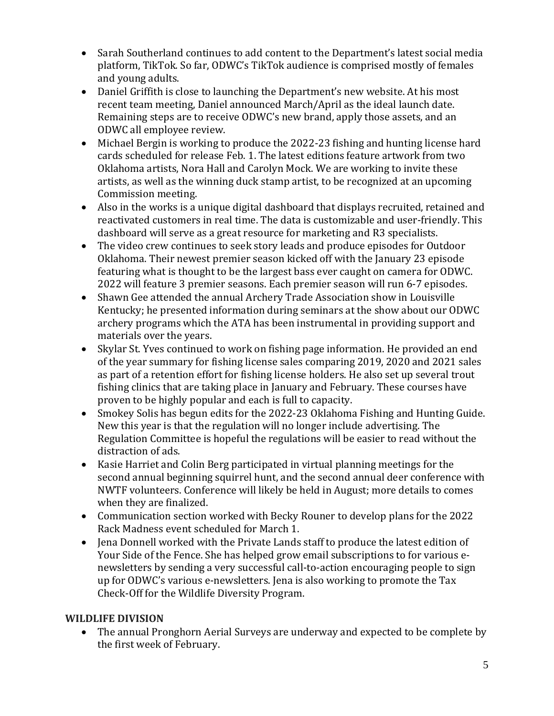- Sarah Southerland continues to add content to the Department's latest social media platform, TikTok. So far, ODWC's TikTok audience is comprised mostly of females and young adults.
- Daniel Griffith is close to launching the Department's new website. At his most recent team meeting, Daniel announced March/April as the ideal launch date. Remaining steps are to receive ODWC's new brand, apply those assets, and an ODWC all employee review.
- Michael Bergin is working to produce the 2022-23 fishing and hunting license hard cards scheduled for release Feb. 1. The latest editions feature artwork from two Oklahoma artists, Nora Hall and Carolyn Mock. We are working to invite these artists, as well as the winning duck stamp artist, to be recognized at an upcoming Commission meeting.
- Also in the works is a unique digital dashboard that displays recruited, retained and reactivated customers in real time. The data is customizable and user-friendly. This dashboard will serve as a great resource for marketing and R3 specialists.
- The video crew continues to seek story leads and produce episodes for Outdoor Oklahoma. Their newest premier season kicked off with the January 23 episode featuring what is thought to be the largest bass ever caught on camera for ODWC. 2022 will feature 3 premier seasons. Each premier season will run 6-7 episodes.
- Shawn Gee attended the annual Archery Trade Association show in Louisville Kentucky; he presented information during seminars at the show about our ODWC archery programs which the ATA has been instrumental in providing support and materials over the years.
- Skylar St. Yves continued to work on fishing page information. He provided an end of the year summary for fishing license sales comparing 2019, 2020 and 2021 sales as part of a retention effort for fishing license holders. He also set up several trout fishing clinics that are taking place in January and February. These courses have proven to be highly popular and each is full to capacity.
- Smokey Solis has begun edits for the 2022-23 Oklahoma Fishing and Hunting Guide. New this year is that the regulation will no longer include advertising. The Regulation Committee is hopeful the regulations will be easier to read without the distraction of ads.
- Kasie Harriet and Colin Berg participated in virtual planning meetings for the second annual beginning squirrel hunt, and the second annual deer conference with NWTF volunteers. Conference will likely be held in August; more details to comes when they are finalized.
- Communication section worked with Becky Rouner to develop plans for the 2022 Rack Madness event scheduled for March 1.
- Jena Donnell worked with the Private Lands staff to produce the latest edition of Your Side of the Fence. She has helped grow email subscriptions to for various enewsletters by sending a very successful call-to-action encouraging people to sign up for ODWC's various e-newsletters. Jena is also working to promote the Tax Check-Off for the Wildlife Diversity Program.

# **WILDLIFE DIVISION**

• The annual Pronghorn Aerial Surveys are underway and expected to be complete by the first week of February.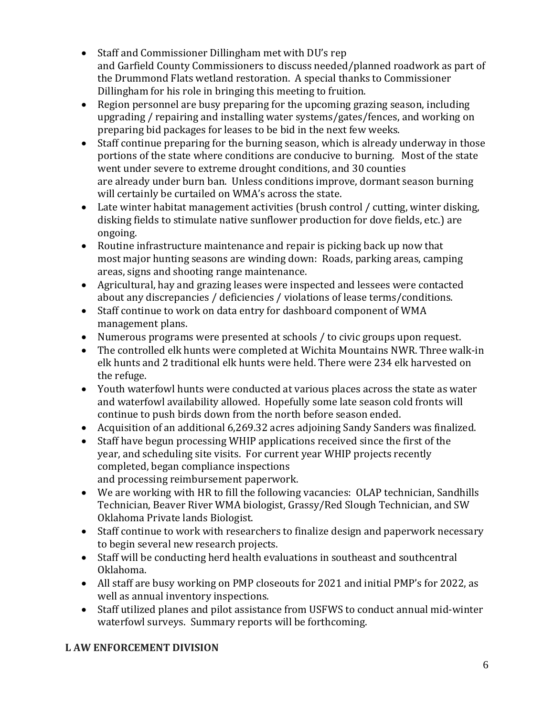- Staff and Commissioner Dillingham met with DU's rep and Garfield County Commissioners to discuss needed/planned roadwork as part of the Drummond Flats wetland restoration. A special thanks to Commissioner Dillingham for his role in bringing this meeting to fruition.
- Region personnel are busy preparing for the upcoming grazing season, including upgrading / repairing and installing water systems/gates/fences, and working on preparing bid packages for leases to be bid in the next few weeks.
- Staff continue preparing for the burning season, which is already underway in those portions of the state where conditions are conducive to burning. Most of the state went under severe to extreme drought conditions, and 30 counties are already under burn ban. Unless conditions improve, dormant season burning will certainly be curtailed on WMA's across the state.
- Late winter habitat management activities (brush control / cutting, winter disking, disking fields to stimulate native sunflower production for dove fields, etc.) are ongoing.
- Routine infrastructure maintenance and repair is picking back up now that most major hunting seasons are winding down: Roads, parking areas, camping areas, signs and shooting range maintenance.
- Agricultural, hay and grazing leases were inspected and lessees were contacted about any discrepancies / deficiencies / violations of lease terms/conditions.
- Staff continue to work on data entry for dashboard component of WMA management plans.
- Numerous programs were presented at schools / to civic groups upon request.
- The controlled elk hunts were completed at Wichita Mountains NWR. Three walk-in elk hunts and 2 traditional elk hunts were held. There were 234 elk harvested on the refuge.
- Youth waterfowl hunts were conducted at various places across the state as water and waterfowl availability allowed. Hopefully some late season cold fronts will continue to push birds down from the north before season ended.
- Acquisition of an additional 6,269.32 acres adjoining Sandy Sanders was finalized.
- Staff have begun processing WHIP applications received since the first of the year, and scheduling site visits. For current year WHIP projects recently completed, began compliance inspections and processing reimbursement paperwork.
- We are working with HR to fill the following vacancies: OLAP technician, Sandhills Technician, Beaver River WMA biologist, Grassy/Red Slough Technician, and SW Oklahoma Private lands Biologist.
- Staff continue to work with researchers to finalize design and paperwork necessary to begin several new research projects.
- Staff will be conducting herd health evaluations in southeast and southcentral Oklahoma.
- All staff are busy working on PMP closeouts for 2021 and initial PMP's for 2022, as well as annual inventory inspections.
- Staff utilized planes and pilot assistance from USFWS to conduct annual mid-winter waterfowl surveys. Summary reports will be forthcoming.

# **L AW ENFORCEMENT DIVISION**